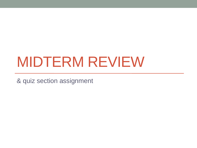# MIDTERM REVIEW

& quiz section assignment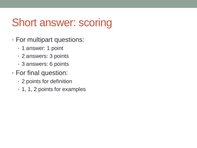### Short answer: scoring

- For multipart questions:
	- 1 answer: 1 point
	- 2 answers: 3 points
	- 3 answers: 6 points
- For final question:
	- 2 points for definition
	- 1, 1, 2 points for examples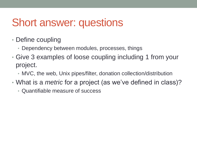#### Short answer: questions

- Define coupling
	- Dependency between modules, processes, things
- Give 3 examples of loose coupling including 1 from your project.
	- MVC, the web, Unix pipes/filter, donation collection/distribution
- What is a *metric* for a project (as we've defined in class)?
	- Quantifiable measure of success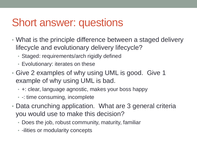#### Short answer: questions

- What is the principle difference between a staged delivery lifecycle and evolutionary delivery lifecycle?
	- Staged: requirements/arch rigidly defined
	- Evolutionary: iterates on these
- Give 2 examples of why using UML is good. Give 1 example of why using UML is bad.
	- +: clear, language agnostic, makes your boss happy
	- -: time consuming, incomplete
- Data crunching application. What are 3 general criteria you would use to make this decision?
	- Does the job, robust community, maturity, familiar
	- -ilities or modularity concepts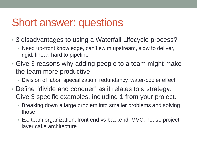#### Short answer: questions

- 3 disadvantages to using a Waterfall Lifecycle process?
	- Need up-front knowledge, can't swim upstream, slow to deliver, rigid, linear, hard to pipeline
- Give 3 reasons why adding people to a team might make the team more productive.
	- Division of labor, specialization, redundancy, water-cooler effect
- Define "divide and conquer" as it relates to a strategy. Give 3 specific examples, including 1 from your project.
	- Breaking down a large problem into smaller problems and solving those
	- Ex: team organization, front end vs backend, MVC, house project, layer cake architecture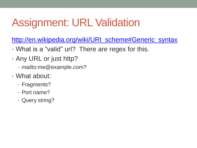## Assignment: URL Validation

[http://en.wikipedia.org/wiki/URI\\_scheme#Generic\\_syntax](http://en.wikipedia.org/wiki/URI_scheme)

- What is a "valid" url? There are regex for this.
- Any URL or just http?
	- mailto:me@example.com?
- What about:
	- Fragments?
	- Port name?
	- Query string?